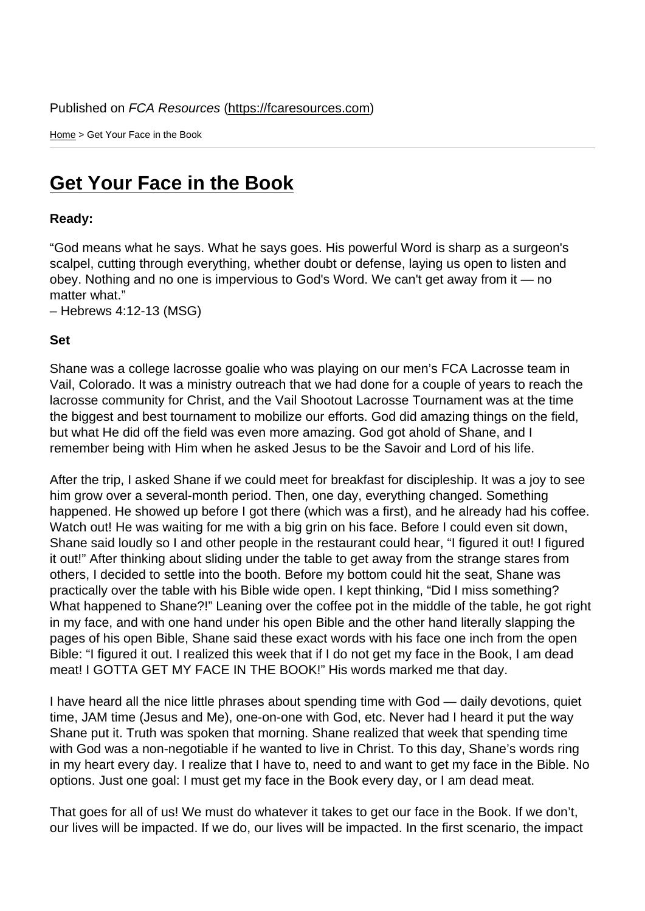Home > Get Your Face in the Book

## [Ge](https://fcaresources.com/)t Your Face in the Book

Ready:

["God means what he says. What he says g](https://fcaresources.com/devotional/get-your-face-book)oes. His powerful Word is sharp as a surgeon's scalpel, cutting through everything, whether doubt or defense, laying us open to listen and obey. Nothing and no one is impervious to God's Word. We can't get away from it — no matter what."

– Hebrews 4:12-13 (MSG)

Set

Shane was a college lacrosse goalie who was playing on our men's FCA Lacrosse team in Vail, Colorado. It was a ministry outreach that we had done for a couple of years to reach the lacrosse community for Christ, and the Vail Shootout Lacrosse Tournament was at the time the biggest and best tournament to mobilize our efforts. God did amazing things on the field, but what He did off the field was even more amazing. God got ahold of Shane, and I remember being with Him when he asked Jesus to be the Savoir and Lord of his life.

After the trip, I asked Shane if we could meet for breakfast for discipleship. It was a joy to see him grow over a several-month period. Then, one day, everything changed. Something happened. He showed up before I got there (which was a first), and he already had his coffee. Watch out! He was waiting for me with a big grin on his face. Before I could even sit down, Shane said loudly so I and other people in the restaurant could hear, "I figured it out! I figured it out!" After thinking about sliding under the table to get away from the strange stares from others, I decided to settle into the booth. Before my bottom could hit the seat, Shane was practically over the table with his Bible wide open. I kept thinking, "Did I miss something? What happened to Shane?!" Leaning over the coffee pot in the middle of the table, he got right in my face, and with one hand under his open Bible and the other hand literally slapping the pages of his open Bible, Shane said these exact words with his face one inch from the open Bible: "I figured it out. I realized this week that if I do not get my face in the Book, I am dead meat! I GOTTA GET MY FACE IN THE BOOK!" His words marked me that day.

I have heard all the nice little phrases about spending time with God — daily devotions, quiet time, JAM time (Jesus and Me), one-on-one with God, etc. Never had I heard it put the way Shane put it. Truth was spoken that morning. Shane realized that week that spending time with God was a non-negotiable if he wanted to live in Christ. To this day, Shane's words ring in my heart every day. I realize that I have to, need to and want to get my face in the Bible. No options. Just one goal: I must get my face in the Book every day, or I am dead meat.

That goes for all of us! We must do whatever it takes to get our face in the Book. If we don't, our lives will be impacted. If we do, our lives will be impacted. In the first scenario, the impact